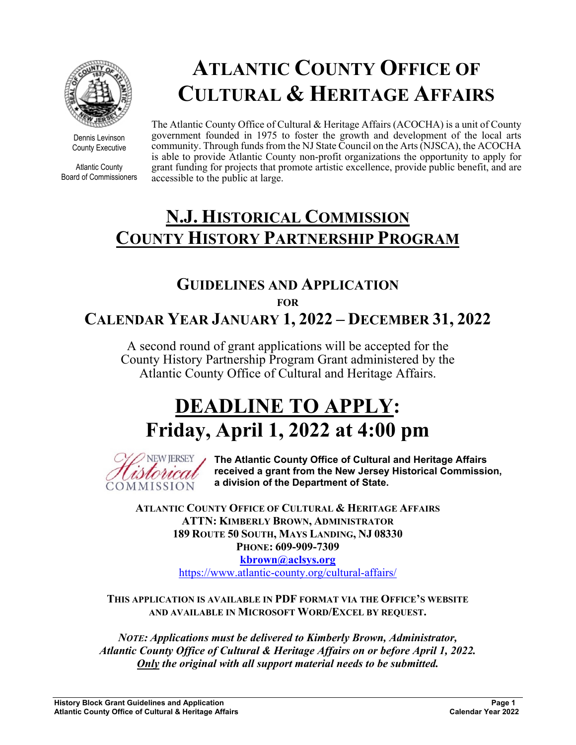

Dennis Levinson County Executive

Atlantic County Board of Commissioners

# **ATLANTIC COUNTY OFFICE OF CULTURAL & HERITAGE AFFAIRS**

The Atlantic County Office of Cultural & Heritage Affairs (ACOCHA) is a unit of County government founded in 1975 to foster the growth and development of the local arts community. Through funds from the NJ State Council on the Arts (NJSCA), the ACOCHA is able to provide Atlantic County non-profit organizations the opportunity to apply for grant funding for projects that promote artistic excellence, provide public benefit, and are accessible to the public at large.

# **N.J. HISTORICAL COMMISSION COUNTY HISTORY PARTNERSHIP PROGRAM**

# **GUIDELINES AND APPLICATION FOR CALENDAR YEAR JANUARY 1, 2022 – DECEMBER 31, 2022**

A second round of grant applications will be accepted for the County History Partnership Program Grant administered by the Atlantic County Office of Cultural and Heritage Affairs.

# **DEADLINE TO APPLY: Friday, April 1, 2022 at 4:00 pm**



**The Atlantic County Office of Cultural and Heritage Affairs received a grant from the New Jersey Historical Commission, a division of the Department of State.** 

**ATLANTIC COUNTY OFFICE OF CULTURAL & HERITAGE AFFAIRS ATTN: KIMBERLY BROWN, ADMINISTRATOR 189 ROUTE 50 SOUTH, MAYS LANDING, NJ 08330 PHONE: 609-909-7309** 

> **kbrown@aclsys.org** https://www.atlantic-county.org/cultural-affairs/

**THIS APPLICATION IS AVAILABLE IN PDF FORMAT VIA THE OFFICE'S WEBSITE AND AVAILABLE IN MICROSOFT WORD/EXCEL BY REQUEST.** 

*NOTE: Applications must be delivered to Kimberly Brown, Administrator, Atlantic County Office of Cultural & Heritage Affairs on or before April 1, 2022. Only the original with all support material needs to be submitted.*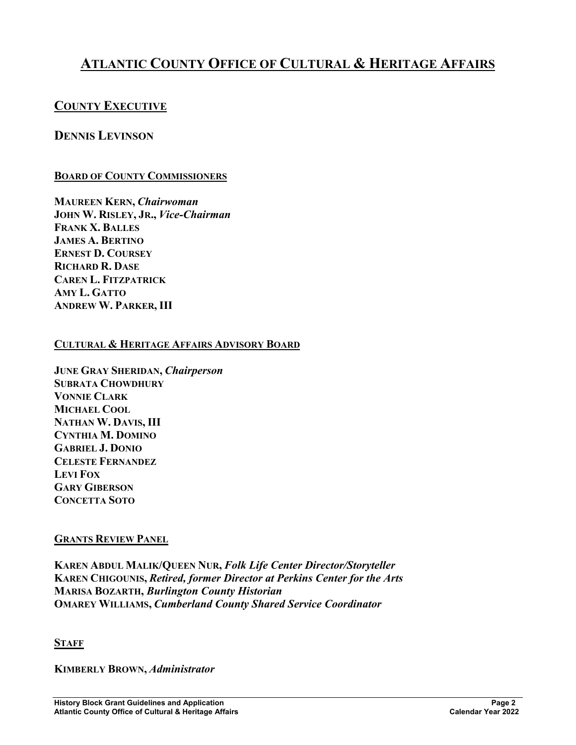# **ATLANTIC COUNTY OFFICE OF CULTURAL & HERITAGE AFFAIRS**

## **COUNTY EXECUTIVE**

## **DENNIS LEVINSON**

#### **BOARD OF COUNTY COMMISSIONERS**

**MAUREEN KERN,** *Chairwoman* **JOHN W. RISLEY, JR.,** *Vice-Chairman* **FRANK X. BALLES JAMES A. BERTINO ERNEST D. COURSEY RICHARD R. DASE CAREN L. FITZPATRICK AMY L. GATTO ANDREW W. PARKER, III** 

#### **CULTURAL & HERITAGE AFFAIRS ADVISORY BOARD**

**JUNE GRAY SHERIDAN,** *Chairperson* **SUBRATA CHOWDHURY VONNIE CLARK MICHAEL COOL NATHAN W. DAVIS, III CYNTHIA M. DOMINO GABRIEL J. DONIO CELESTE FERNANDEZ LEVI FOX GARY GIBERSON CONCETTA SOTO**

#### **GRANTS REVIEW PANEL**

**KAREN ABDUL MALIK/QUEEN NUR,** *Folk Life Center Director/Storyteller*  **KAREN CHIGOUNIS,** *Retired, former Director at Perkins Center for the Arts*  **MARISA BOZARTH,** *Burlington County Historian*  **OMAREY WILLIAMS,** *Cumberland County Shared Service Coordinator* 

#### **STAFF**

**KIMBERLY BROWN,** *Administrator*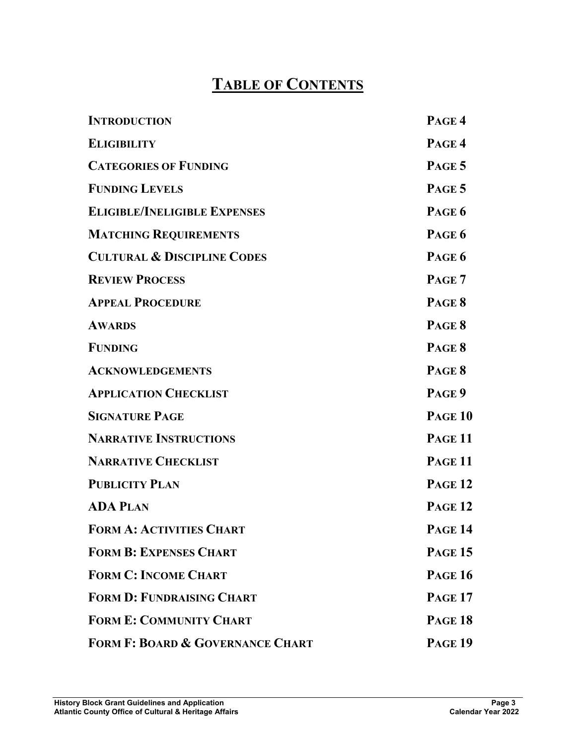# **TABLE OF CONTENTS**

| <b>INTRODUCTION</b>                         | PAGE 4             |
|---------------------------------------------|--------------------|
| <b>ELIGIBILITY</b>                          | PAGE 4             |
| <b>CATEGORIES OF FUNDING</b>                | PAGE 5             |
| <b>FUNDING LEVELS</b>                       | PAGE 5             |
| <b>ELIGIBLE/INELIGIBLE EXPENSES</b>         | PAGE 6             |
| <b>MATCHING REQUIREMENTS</b>                | PAGE 6             |
| <b>CULTURAL &amp; DISCIPLINE CODES</b>      | PAGE 6             |
| <b>REVIEW PROCESS</b>                       | PAGE 7             |
| <b>APPEAL PROCEDURE</b>                     | PAGE 8             |
| <b>AWARDS</b>                               | PAGE 8             |
| <b>FUNDING</b>                              | PAGE 8             |
| <b>ACKNOWLEDGEMENTS</b>                     | PAGE 8             |
| <b>APPLICATION CHECKLIST</b>                | PAGE 9             |
| <b>SIGNATURE PAGE</b>                       | <b>PAGE 10</b>     |
| <b>NARRATIVE INSTRUCTIONS</b>               | PAGE <sub>11</sub> |
| <b>NARRATIVE CHECKLIST</b>                  | <b>PAGE 11</b>     |
| <b>PUBLICITY PLAN</b>                       | <b>PAGE 12</b>     |
| <b>ADA PLAN</b>                             | <b>PAGE 12</b>     |
| <b>FORM A: ACTIVITIES CHART</b>             | Page 14            |
| <b>FORM B: EXPENSES CHART</b>               | <b>PAGE 15</b>     |
| <b>FORM C: INCOME CHART</b>                 | <b>PAGE 16</b>     |
| <b>FORM D: FUNDRAISING CHART</b>            | <b>PAGE 17</b>     |
| <b>FORM E: COMMUNITY CHART</b>              | <b>PAGE 18</b>     |
| <b>FORM F: BOARD &amp; GOVERNANCE CHART</b> | <b>PAGE 19</b>     |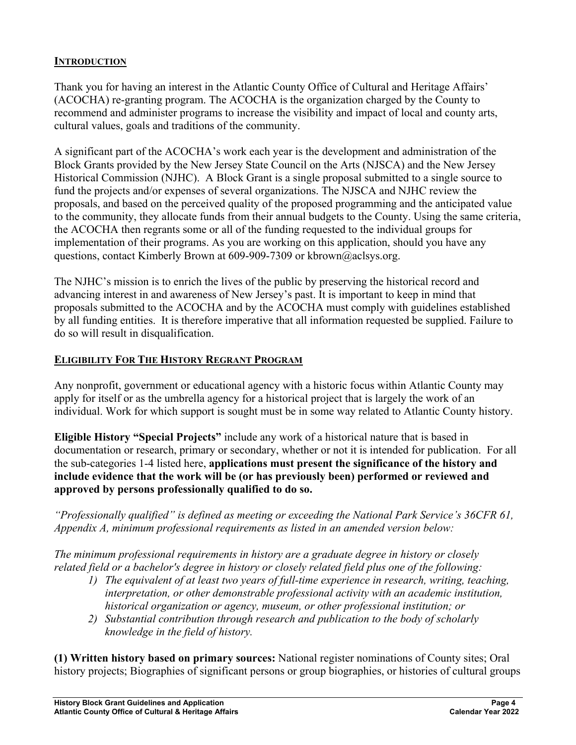#### **INTRODUCTION**

Thank you for having an interest in the Atlantic County Office of Cultural and Heritage Affairs' (ACOCHA) re-granting program. The ACOCHA is the organization charged by the County to recommend and administer programs to increase the visibility and impact of local and county arts, cultural values, goals and traditions of the community.

A significant part of the ACOCHA's work each year is the development and administration of the Block Grants provided by the New Jersey State Council on the Arts (NJSCA) and the New Jersey Historical Commission (NJHC). A Block Grant is a single proposal submitted to a single source to fund the projects and/or expenses of several organizations. The NJSCA and NJHC review the proposals, and based on the perceived quality of the proposed programming and the anticipated value to the community, they allocate funds from their annual budgets to the County. Using the same criteria, the ACOCHA then regrants some or all of the funding requested to the individual groups for implementation of their programs. As you are working on this application, should you have any questions, contact Kimberly Brown at 609-909-7309 or kbrown@aclsys.org.

The NJHC's mission is to enrich the lives of the public by preserving the historical record and advancing interest in and awareness of New Jersey's past. It is important to keep in mind that proposals submitted to the ACOCHA and by the ACOCHA must comply with guidelines established by all funding entities. It is therefore imperative that all information requested be supplied. Failure to do so will result in disqualification.

#### **ELIGIBILITY FOR THE HISTORY REGRANT PROGRAM**

Any nonprofit, government or educational agency with a historic focus within Atlantic County may apply for itself or as the umbrella agency for a historical project that is largely the work of an individual. Work for which support is sought must be in some way related to Atlantic County history.

**Eligible History "Special Projects"** include any work of a historical nature that is based in documentation or research, primary or secondary, whether or not it is intended for publication. For all the sub-categories 1-4 listed here, **applications must present the significance of the history and include evidence that the work will be (or has previously been) performed or reviewed and approved by persons professionally qualified to do so.** 

*"Professionally qualified" is defined as meeting or exceeding the National Park Service's 36CFR 61, Appendix A, minimum professional requirements as listed in an amended version below:* 

*The minimum professional requirements in history are a graduate degree in history or closely related field or a bachelor's degree in history or closely related field plus one of the following:* 

- *1) The equivalent of at least two years of full-time experience in research, writing, teaching, interpretation, or other demonstrable professional activity with an academic institution, historical organization or agency, museum, or other professional institution; or*
- *2) Substantial contribution through research and publication to the body of scholarly knowledge in the field of history.*

**(1) Written history based on primary sources:** National register nominations of County sites; Oral history projects; Biographies of significant persons or group biographies, or histories of cultural groups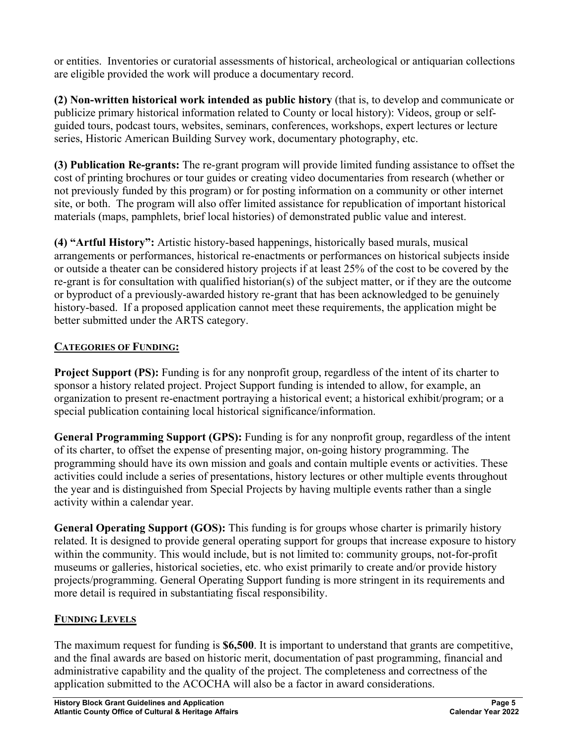or entities. Inventories or curatorial assessments of historical, archeological or antiquarian collections are eligible provided the work will produce a documentary record.

**(2) Non-written historical work intended as public history** (that is, to develop and communicate or publicize primary historical information related to County or local history): Videos, group or selfguided tours, podcast tours, websites, seminars, conferences, workshops, expert lectures or lecture series, Historic American Building Survey work, documentary photography, etc.

**(3) Publication Re-grants:** The re-grant program will provide limited funding assistance to offset the cost of printing brochures or tour guides or creating video documentaries from research (whether or not previously funded by this program) or for posting information on a community or other internet site, or both. The program will also offer limited assistance for republication of important historical materials (maps, pamphlets, brief local histories) of demonstrated public value and interest.

**(4) "Artful History":** Artistic history-based happenings, historically based murals, musical arrangements or performances, historical re-enactments or performances on historical subjects inside or outside a theater can be considered history projects if at least 25% of the cost to be covered by the re-grant is for consultation with qualified historian(s) of the subject matter, or if they are the outcome or byproduct of a previously-awarded history re-grant that has been acknowledged to be genuinely history-based. If a proposed application cannot meet these requirements, the application might be better submitted under the ARTS category.

# **CATEGORIES OF FUNDING:**

**Project Support (PS):** Funding is for any nonprofit group, regardless of the intent of its charter to sponsor a history related project. Project Support funding is intended to allow, for example, an organization to present re-enactment portraying a historical event; a historical exhibit/program; or a special publication containing local historical significance/information.

**General Programming Support (GPS):** Funding is for any nonprofit group, regardless of the intent of its charter, to offset the expense of presenting major, on-going history programming. The programming should have its own mission and goals and contain multiple events or activities. These activities could include a series of presentations, history lectures or other multiple events throughout the year and is distinguished from Special Projects by having multiple events rather than a single activity within a calendar year.

**General Operating Support (GOS):** This funding is for groups whose charter is primarily history related. It is designed to provide general operating support for groups that increase exposure to history within the community. This would include, but is not limited to: community groups, not-for-profit museums or galleries, historical societies, etc. who exist primarily to create and/or provide history projects/programming. General Operating Support funding is more stringent in its requirements and more detail is required in substantiating fiscal responsibility.

# **FUNDING LEVELS**

The maximum request for funding is **\$6,500**. It is important to understand that grants are competitive, and the final awards are based on historic merit, documentation of past programming, financial and administrative capability and the quality of the project. The completeness and correctness of the application submitted to the ACOCHA will also be a factor in award considerations.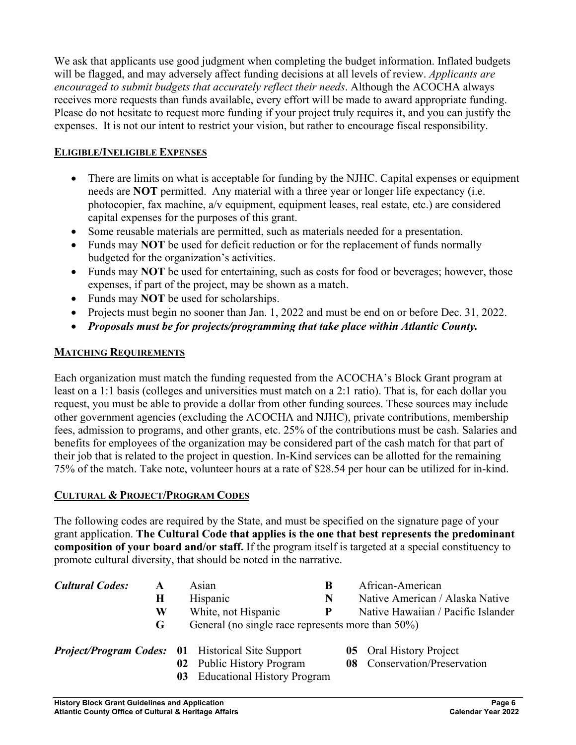We ask that applicants use good judgment when completing the budget information. Inflated budgets will be flagged, and may adversely affect funding decisions at all levels of review. *Applicants are encouraged to submit budgets that accurately reflect their needs*. Although the ACOCHA always receives more requests than funds available, every effort will be made to award appropriate funding. Please do not hesitate to request more funding if your project truly requires it, and you can justify the expenses. It is not our intent to restrict your vision, but rather to encourage fiscal responsibility.

#### **ELIGIBLE/INELIGIBLE EXPENSES**

- There are limits on what is acceptable for funding by the NJHC. Capital expenses or equipment needs are **NOT** permitted. Any material with a three year or longer life expectancy (i.e. photocopier, fax machine, a/v equipment, equipment leases, real estate, etc.) are considered capital expenses for the purposes of this grant.
- Some reusable materials are permitted, such as materials needed for a presentation.
- Funds may **NOT** be used for deficit reduction or for the replacement of funds normally budgeted for the organization's activities.
- Funds may **NOT** be used for entertaining, such as costs for food or beverages; however, those expenses, if part of the project, may be shown as a match.
- Funds may **NOT** be used for scholarships.
- Projects must begin no sooner than Jan. 1, 2022 and must be end on or before Dec. 31, 2022.
- *Proposals must be for projects/programming that take place within Atlantic County.*

#### **MATCHING REQUIREMENTS**

Each organization must match the funding requested from the ACOCHA's Block Grant program at least on a 1:1 basis (colleges and universities must match on a 2:1 ratio). That is, for each dollar you request, you must be able to provide a dollar from other funding sources. These sources may include other government agencies (excluding the ACOCHA and NJHC), private contributions, membership fees, admission to programs, and other grants, etc. 25% of the contributions must be cash. Salaries and benefits for employees of the organization may be considered part of the cash match for that part of their job that is related to the project in question. In-Kind services can be allotted for the remaining 75% of the match. Take note, volunteer hours at a rate of \$28.54 per hour can be utilized for in-kind.

#### **CULTURAL & PROJECT/PROGRAM CODES**

The following codes are required by the State, and must be specified on the signature page of your grant application. **The Cultural Code that applies is the one that best represents the predominant composition of your board and/or staff.** If the program itself is targeted at a special constituency to promote cultural diversity, that should be noted in the narrative.

| <b>Cultural Codes:</b><br>A |   |                                                   | Asian                                                    | B | African-American                   |
|-----------------------------|---|---------------------------------------------------|----------------------------------------------------------|---|------------------------------------|
|                             | Н |                                                   | Hispanic                                                 | N | Native American / Alaska Native    |
|                             | W |                                                   | White, not Hispanic                                      | P | Native Hawaiian / Pacific Islander |
|                             | G | General (no single race represents more than 50%) |                                                          |   |                                    |
|                             |   |                                                   | <b>Project/Program Codes: 01</b> Historical Site Support |   | <b>05</b> Oral History Project     |
|                             |   |                                                   | 02 Public History Program                                |   | 08 Conservation/Preservation       |
|                             |   | 03                                                | <b>Educational History Program</b>                       |   |                                    |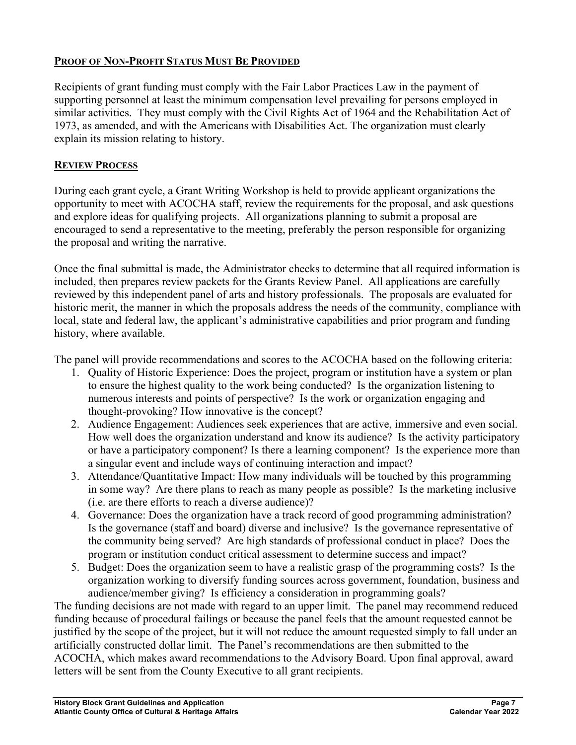#### **PROOF OF NON-PROFIT STATUS MUST BE PROVIDED**

Recipients of grant funding must comply with the Fair Labor Practices Law in the payment of supporting personnel at least the minimum compensation level prevailing for persons employed in similar activities. They must comply with the Civil Rights Act of 1964 and the Rehabilitation Act of 1973, as amended, and with the Americans with Disabilities Act. The organization must clearly explain its mission relating to history.

#### **REVIEW PROCESS**

During each grant cycle, a Grant Writing Workshop is held to provide applicant organizations the opportunity to meet with ACOCHA staff, review the requirements for the proposal, and ask questions and explore ideas for qualifying projects. All organizations planning to submit a proposal are encouraged to send a representative to the meeting, preferably the person responsible for organizing the proposal and writing the narrative.

Once the final submittal is made, the Administrator checks to determine that all required information is included, then prepares review packets for the Grants Review Panel. All applications are carefully reviewed by this independent panel of arts and history professionals. The proposals are evaluated for historic merit, the manner in which the proposals address the needs of the community, compliance with local, state and federal law, the applicant's administrative capabilities and prior program and funding history, where available.

The panel will provide recommendations and scores to the ACOCHA based on the following criteria:

- 1. Quality of Historic Experience: Does the project, program or institution have a system or plan to ensure the highest quality to the work being conducted? Is the organization listening to numerous interests and points of perspective? Is the work or organization engaging and thought-provoking? How innovative is the concept?
- 2. Audience Engagement: Audiences seek experiences that are active, immersive and even social. How well does the organization understand and know its audience? Is the activity participatory or have a participatory component? Is there a learning component? Is the experience more than a singular event and include ways of continuing interaction and impact?
- 3. Attendance/Quantitative Impact: How many individuals will be touched by this programming in some way? Are there plans to reach as many people as possible? Is the marketing inclusive (i.e. are there efforts to reach a diverse audience)?
- 4. Governance: Does the organization have a track record of good programming administration? Is the governance (staff and board) diverse and inclusive? Is the governance representative of the community being served? Are high standards of professional conduct in place? Does the program or institution conduct critical assessment to determine success and impact?
- 5. Budget: Does the organization seem to have a realistic grasp of the programming costs? Is the organization working to diversify funding sources across government, foundation, business and audience/member giving? Is efficiency a consideration in programming goals?

The funding decisions are not made with regard to an upper limit. The panel may recommend reduced funding because of procedural failings or because the panel feels that the amount requested cannot be justified by the scope of the project, but it will not reduce the amount requested simply to fall under an artificially constructed dollar limit. The Panel's recommendations are then submitted to the ACOCHA, which makes award recommendations to the Advisory Board. Upon final approval, award letters will be sent from the County Executive to all grant recipients.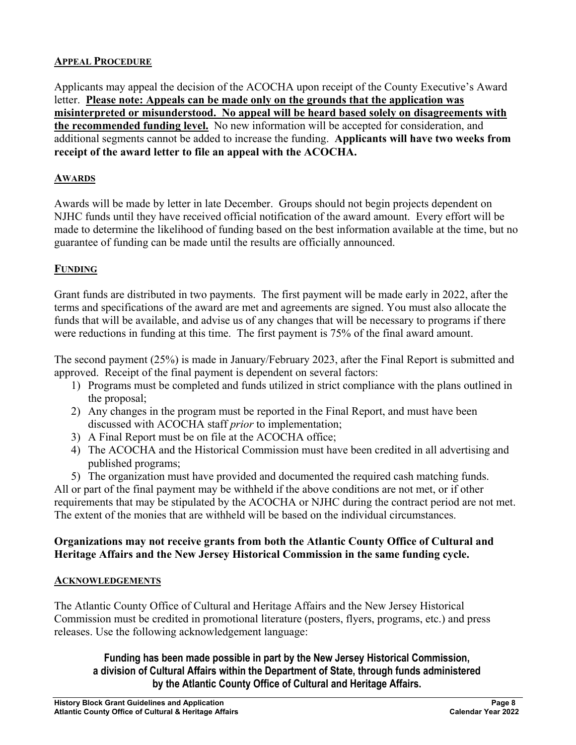#### **APPEAL PROCEDURE**

Applicants may appeal the decision of the ACOCHA upon receipt of the County Executive's Award letter. **Please note: Appeals can be made only on the grounds that the application was misinterpreted or misunderstood. No appeal will be heard based solely on disagreements with the recommended funding level.** No new information will be accepted for consideration, and additional segments cannot be added to increase the funding. **Applicants will have two weeks from receipt of the award letter to file an appeal with the ACOCHA.**

#### **AWARDS**

Awards will be made by letter in late December. Groups should not begin projects dependent on NJHC funds until they have received official notification of the award amount. Every effort will be made to determine the likelihood of funding based on the best information available at the time, but no guarantee of funding can be made until the results are officially announced.

## **FUNDING**

Grant funds are distributed in two payments. The first payment will be made early in 2022, after the terms and specifications of the award are met and agreements are signed. You must also allocate the funds that will be available, and advise us of any changes that will be necessary to programs if there were reductions in funding at this time. The first payment is 75% of the final award amount.

The second payment (25%) is made in January/February 2023, after the Final Report is submitted and approved. Receipt of the final payment is dependent on several factors:

- 1) Programs must be completed and funds utilized in strict compliance with the plans outlined in the proposal;
- 2) Any changes in the program must be reported in the Final Report, and must have been discussed with ACOCHA staff *prior* to implementation;
- 3) A Final Report must be on file at the ACOCHA office;
- 4) The ACOCHA and the Historical Commission must have been credited in all advertising and published programs;
- 5) The organization must have provided and documented the required cash matching funds.

All or part of the final payment may be withheld if the above conditions are not met, or if other requirements that may be stipulated by the ACOCHA or NJHC during the contract period are not met. The extent of the monies that are withheld will be based on the individual circumstances.

#### **Organizations may not receive grants from both the Atlantic County Office of Cultural and Heritage Affairs and the New Jersey Historical Commission in the same funding cycle.**

#### **ACKNOWLEDGEMENTS**

The Atlantic County Office of Cultural and Heritage Affairs and the New Jersey Historical Commission must be credited in promotional literature (posters, flyers, programs, etc.) and press releases. Use the following acknowledgement language:

#### **Funding has been made possible in part by the New Jersey Historical Commission, a division of Cultural Affairs within the Department of State, through funds administered by the Atlantic County Office of Cultural and Heritage Affairs.**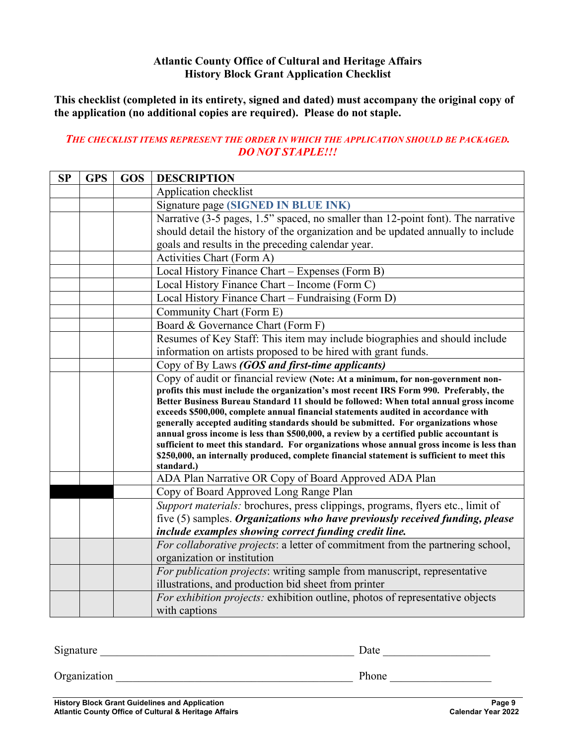#### **Atlantic County Office of Cultural and Heritage Affairs History Block Grant Application Checklist**

**This checklist (completed in its entirety, signed and dated) must accompany the original copy of the application (no additional copies are required). Please do not staple.** 

#### *THE CHECKLIST ITEMS REPRESENT THE ORDER IN WHICH THE APPLICATION SHOULD BE PACKAGED. DO NOT STAPLE!!!*

| <b>SP</b> | <b>GPS</b> | <b>GOS</b> | <b>DESCRIPTION</b>                                                                                                                                                                       |
|-----------|------------|------------|------------------------------------------------------------------------------------------------------------------------------------------------------------------------------------------|
|           |            |            | Application checklist                                                                                                                                                                    |
|           |            |            | Signature page (SIGNED IN BLUE INK)                                                                                                                                                      |
|           |            |            | Narrative (3-5 pages, 1.5" spaced, no smaller than 12-point font). The narrative                                                                                                         |
|           |            |            | should detail the history of the organization and be updated annually to include                                                                                                         |
|           |            |            | goals and results in the preceding calendar year.                                                                                                                                        |
|           |            |            | Activities Chart (Form A)                                                                                                                                                                |
|           |            |            | Local History Finance Chart - Expenses (Form B)                                                                                                                                          |
|           |            |            | Local History Finance Chart - Income (Form C)                                                                                                                                            |
|           |            |            | Local History Finance Chart - Fundraising (Form D)                                                                                                                                       |
|           |            |            | Community Chart (Form E)                                                                                                                                                                 |
|           |            |            | Board & Governance Chart (Form F)                                                                                                                                                        |
|           |            |            | Resumes of Key Staff: This item may include biographies and should include                                                                                                               |
|           |            |            | information on artists proposed to be hired with grant funds.                                                                                                                            |
|           |            |            | Copy of By Laws (GOS and first-time applicants)                                                                                                                                          |
|           |            |            | Copy of audit or financial review (Note: At a minimum, for non-government non-                                                                                                           |
|           |            |            | profits this must include the organization's most recent IRS Form 990. Preferably, the<br>Better Business Bureau Standard 11 should be followed: When total annual gross income          |
|           |            |            | exceeds \$500,000, complete annual financial statements audited in accordance with                                                                                                       |
|           |            |            | generally accepted auditing standards should be submitted. For organizations whose                                                                                                       |
|           |            |            | annual gross income is less than \$500,000, a review by a certified public accountant is                                                                                                 |
|           |            |            | sufficient to meet this standard. For organizations whose annual gross income is less than<br>\$250,000, an internally produced, complete financial statement is sufficient to meet this |
|           |            |            | standard.)                                                                                                                                                                               |
|           |            |            | ADA Plan Narrative OR Copy of Board Approved ADA Plan                                                                                                                                    |
|           |            |            | Copy of Board Approved Long Range Plan                                                                                                                                                   |
|           |            |            | Support materials: brochures, press clippings, programs, flyers etc., limit of                                                                                                           |
|           |            |            | five (5) samples. Organizations who have previously received funding, please                                                                                                             |
|           |            |            | include examples showing correct funding credit line.                                                                                                                                    |
|           |            |            | For collaborative projects: a letter of commitment from the partnering school,                                                                                                           |
|           |            |            | organization or institution                                                                                                                                                              |
|           |            |            | For publication projects: writing sample from manuscript, representative                                                                                                                 |
|           |            |            | illustrations, and production bid sheet from printer                                                                                                                                     |
|           |            |            | For exhibition projects: exhibition outline, photos of representative objects                                                                                                            |
|           |            |            | with captions                                                                                                                                                                            |

Signature \_\_\_\_\_\_\_\_\_\_\_\_\_\_\_\_\_\_\_\_\_\_\_\_\_\_\_\_\_\_\_\_\_\_\_\_\_\_\_\_\_\_\_\_\_ Date \_\_\_\_\_\_\_\_\_\_\_\_\_\_\_\_\_\_\_

Organization \_\_\_\_\_\_\_\_\_\_\_\_\_\_\_\_\_\_\_\_\_\_\_\_\_\_\_\_\_\_\_\_\_\_\_\_\_\_\_\_\_\_ Phone \_\_\_\_\_\_\_\_\_\_\_\_\_\_\_\_\_\_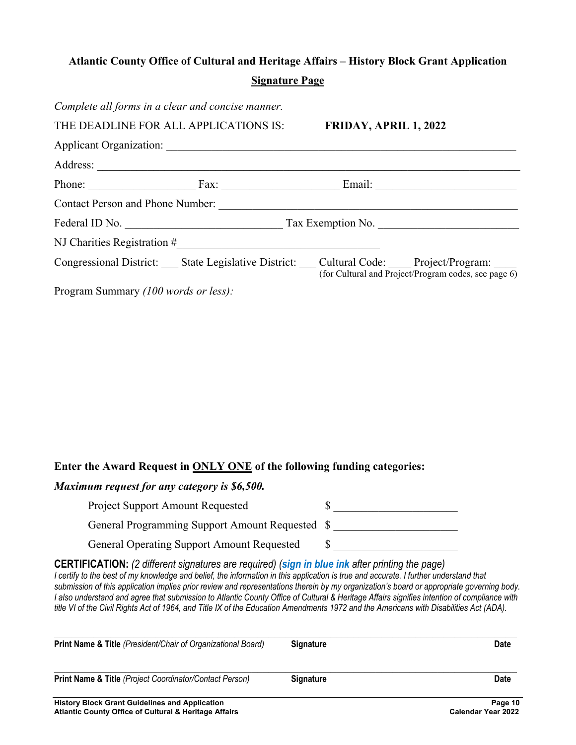# **Atlantic County Office of Cultural and Heritage Affairs – History Block Grant Application Signature Page**

| Complete all forms in a clear and concise manner. |                                                                                                     |                       |                                                         |
|---------------------------------------------------|-----------------------------------------------------------------------------------------------------|-----------------------|---------------------------------------------------------|
|                                                   | THE DEADLINE FOR ALL APPLICATIONS IS:                                                               | FRIDAY, APRIL 1, 2022 |                                                         |
|                                                   |                                                                                                     |                       |                                                         |
|                                                   |                                                                                                     |                       |                                                         |
|                                                   | Phone: Fax: Fax: Email: Email:                                                                      |                       |                                                         |
| <b>Contact Person and Phone Number:</b>           |                                                                                                     |                       |                                                         |
| Federal ID No.                                    |                                                                                                     |                       | Tax Exemption No.                                       |
|                                                   |                                                                                                     |                       |                                                         |
|                                                   | Congressional District: ___ State Legislative District: ___ Cultural Code: ___ Project/Program: ___ |                       | (for Cultural and Project/Program codes, see page $6$ ) |
| Program Summary (100 words or less):              |                                                                                                     |                       |                                                         |

#### **Enter the Award Request in ONLY ONE of the following funding categories:**

#### *Maximum request for any category is \$6,500.*

| <b>Project Support Amount Requested</b>           |  |
|---------------------------------------------------|--|
| General Programming Support Amount Requested \$   |  |
| <b>General Operating Support Amount Requested</b> |  |

**CERTIFICATION:** *(2 different signatures are required) (sign in blue ink after printing the page)* 

*I* certify to the best of my knowledge and belief, the information in this application is true and accurate. I further understand that *submission of this application implies prior review and representations therein by my organization's board or appropriate governing body. I also understand and agree that submission to Atlantic County Office of Cultural & Heritage Affairs signifies intention of compliance with title VI of the Civil Rights Act of 1964, and Title IX of the Education Amendments 1972 and the Americans with Disabilities Act (ADA).* 

| <b>Print Name &amp; Title (President/Chair of Organizational Board)</b>                                                   | <b>Signature</b> | Date                                 |
|---------------------------------------------------------------------------------------------------------------------------|------------------|--------------------------------------|
| <b>Print Name &amp; Title (Project Coordinator/Contact Person)</b>                                                        | <b>Signature</b> | <b>Date</b>                          |
| <b>History Block Grant Guidelines and Application</b><br><b>Atlantic County Office of Cultural &amp; Heritage Affairs</b> |                  | Page 10<br><b>Calendar Year 2022</b> |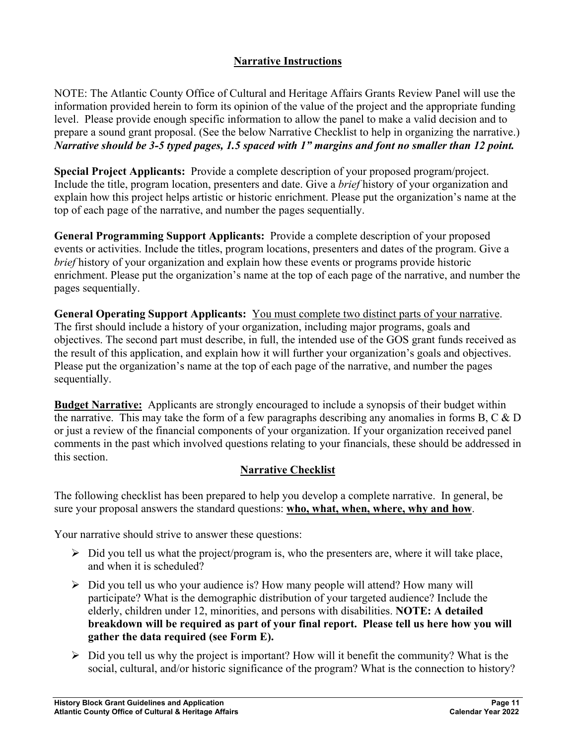# **Narrative Instructions**

NOTE: The Atlantic County Office of Cultural and Heritage Affairs Grants Review Panel will use the information provided herein to form its opinion of the value of the project and the appropriate funding level. Please provide enough specific information to allow the panel to make a valid decision and to prepare a sound grant proposal. (See the below Narrative Checklist to help in organizing the narrative.) *Narrative should be 3-5 typed pages, 1.5 spaced with 1" margins and font no smaller than 12 point.*

**Special Project Applicants:** Provide a complete description of your proposed program/project. Include the title, program location, presenters and date. Give a *brief* history of your organization and explain how this project helps artistic or historic enrichment. Please put the organization's name at the top of each page of the narrative, and number the pages sequentially.

**General Programming Support Applicants:** Provide a complete description of your proposed events or activities. Include the titles, program locations, presenters and dates of the program. Give a *brief* history of your organization and explain how these events or programs provide historic enrichment. Please put the organization's name at the top of each page of the narrative, and number the pages sequentially.

**General Operating Support Applicants:** You must complete two distinct parts of your narrative. The first should include a history of your organization, including major programs, goals and objectives. The second part must describe, in full, the intended use of the GOS grant funds received as the result of this application, and explain how it will further your organization's goals and objectives. Please put the organization's name at the top of each page of the narrative, and number the pages sequentially.

**Budget Narrative:** Applicants are strongly encouraged to include a synopsis of their budget within the narrative. This may take the form of a few paragraphs describing any anomalies in forms B, C  $\&$  D or just a review of the financial components of your organization. If your organization received panel comments in the past which involved questions relating to your financials, these should be addressed in this section.

#### **Narrative Checklist**

The following checklist has been prepared to help you develop a complete narrative. In general, be sure your proposal answers the standard questions: **who, what, when, where, why and how**.

Your narrative should strive to answer these questions:

- $\triangleright$  Did you tell us what the project/program is, who the presenters are, where it will take place, and when it is scheduled?
- $\triangleright$  Did you tell us who your audience is? How many people will attend? How many will participate? What is the demographic distribution of your targeted audience? Include the elderly, children under 12, minorities, and persons with disabilities. **NOTE: A detailed breakdown will be required as part of your final report. Please tell us here how you will gather the data required (see Form E).**
- $\triangleright$  Did you tell us why the project is important? How will it benefit the community? What is the social, cultural, and/or historic significance of the program? What is the connection to history?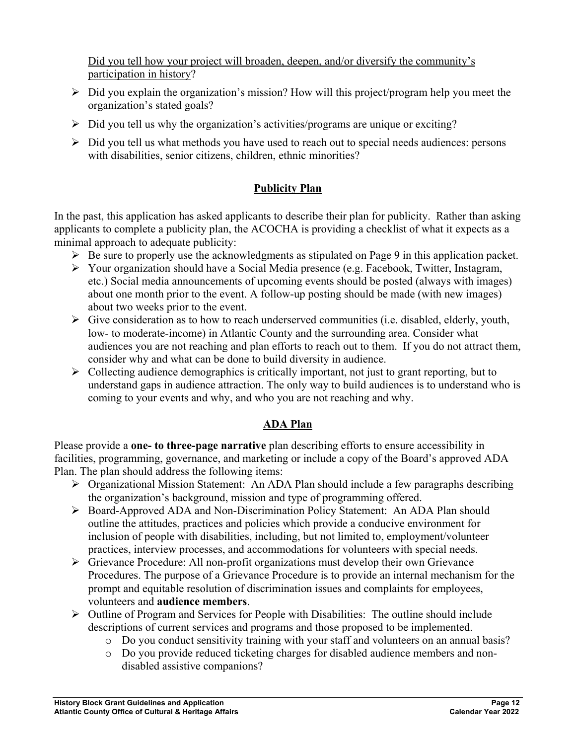Did you tell how your project will broaden, deepen, and/or diversify the community's participation in history?

- $\triangleright$  Did you explain the organization's mission? How will this project/program help you meet the organization's stated goals?
- $\triangleright$  Did you tell us why the organization's activities/programs are unique or exciting?
- $\triangleright$  Did you tell us what methods you have used to reach out to special needs audiences: persons with disabilities, senior citizens, children, ethnic minorities?

# **Publicity Plan**

In the past, this application has asked applicants to describe their plan for publicity. Rather than asking applicants to complete a publicity plan, the ACOCHA is providing a checklist of what it expects as a minimal approach to adequate publicity:

- $\triangleright$  Be sure to properly use the acknowledgments as stipulated on Page 9 in this application packet.
- Your organization should have a Social Media presence (e.g. Facebook, Twitter, Instagram, etc.) Social media announcements of upcoming events should be posted (always with images) about one month prior to the event. A follow-up posting should be made (with new images) about two weeks prior to the event.
- $\triangleright$  Give consideration as to how to reach underserved communities (i.e. disabled, elderly, youth, low- to moderate-income) in Atlantic County and the surrounding area. Consider what audiences you are not reaching and plan efforts to reach out to them. If you do not attract them, consider why and what can be done to build diversity in audience.
- $\triangleright$  Collecting audience demographics is critically important, not just to grant reporting, but to understand gaps in audience attraction. The only way to build audiences is to understand who is coming to your events and why, and who you are not reaching and why.

## **ADA Plan**

Please provide a **one- to three-page narrative** plan describing efforts to ensure accessibility in facilities, programming, governance, and marketing or include a copy of the Board's approved ADA Plan. The plan should address the following items:

- $\triangleright$  Organizational Mission Statement: An ADA Plan should include a few paragraphs describing the organization's background, mission and type of programming offered.
- Board-Approved ADA and Non-Discrimination Policy Statement: An ADA Plan should outline the attitudes, practices and policies which provide a conducive environment for inclusion of people with disabilities, including, but not limited to, employment/volunteer practices, interview processes, and accommodations for volunteers with special needs.
- Grievance Procedure: All non-profit organizations must develop their own Grievance Procedures. The purpose of a Grievance Procedure is to provide an internal mechanism for the prompt and equitable resolution of discrimination issues and complaints for employees, volunteers and **audience members**.
- $\triangleright$  Outline of Program and Services for People with Disabilities: The outline should include descriptions of current services and programs and those proposed to be implemented.
	- o Do you conduct sensitivity training with your staff and volunteers on an annual basis?
	- o Do you provide reduced ticketing charges for disabled audience members and nondisabled assistive companions?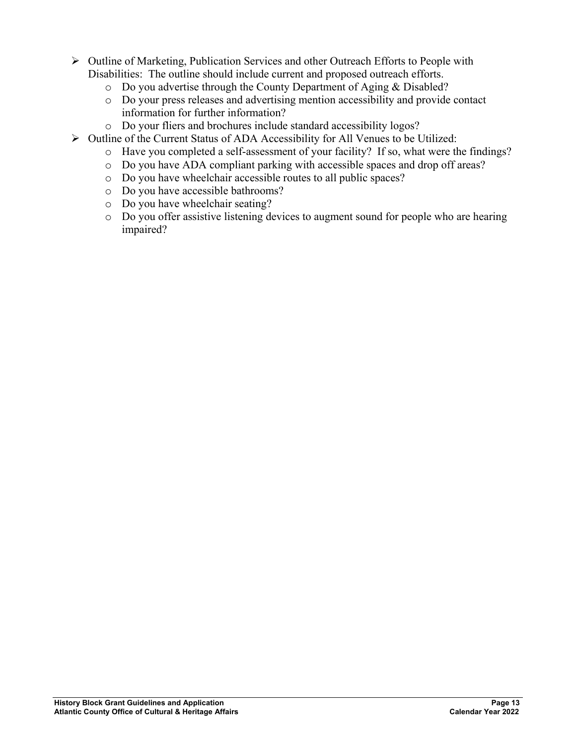- $\triangleright$  Outline of Marketing, Publication Services and other Outreach Efforts to People with Disabilities: The outline should include current and proposed outreach efforts.
	- o Do you advertise through the County Department of Aging & Disabled?
	- o Do your press releases and advertising mention accessibility and provide contact information for further information?
	- o Do your fliers and brochures include standard accessibility logos?
- $\triangleright$  Outline of the Current Status of ADA Accessibility for All Venues to be Utilized:
	- o Have you completed a self-assessment of your facility? If so, what were the findings?
	- o Do you have ADA compliant parking with accessible spaces and drop off areas?
	- o Do you have wheelchair accessible routes to all public spaces?
	- o Do you have accessible bathrooms?
	- o Do you have wheelchair seating?
	- o Do you offer assistive listening devices to augment sound for people who are hearing impaired?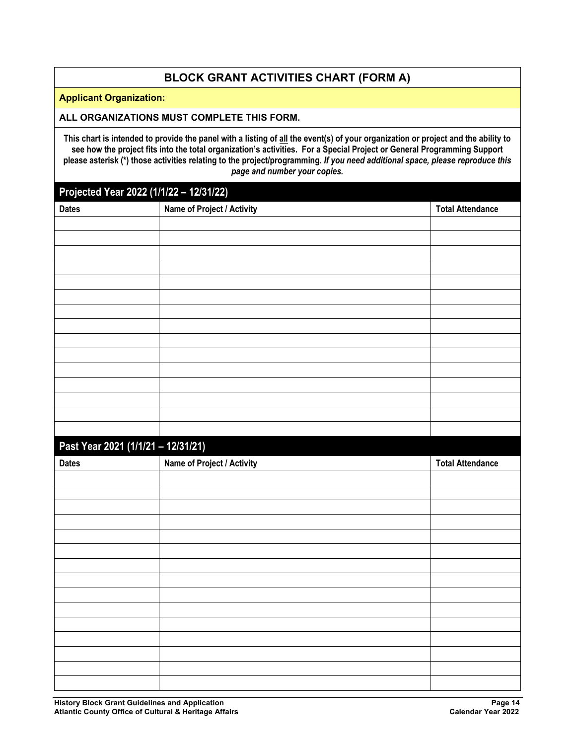## **BLOCK GRANT ACTIVITIES CHART (FORM A)**

#### **Applicant Organization:**

#### **ALL ORGANIZATIONS MUST COMPLETE THIS FORM.**

**This chart is intended to provide the panel with a listing of all the event(s) of your organization or project and the ability to see how the project fits into the total organization's activities. For a Special Project or General Programming Support please asterisk (\*) those activities relating to the project/programming.** *If you need additional space, please reproduce this page and number your copies.*

# **Projected Year 2022 (1/1/22 – 12/31/22)**

| $\cdot$ $\cdot$ $\cdot$<br>$\frac{1}{2}$<br><b>Dates</b> | Name of Project / Activity | <b>Total Attendance</b> |
|----------------------------------------------------------|----------------------------|-------------------------|
|                                                          |                            |                         |
|                                                          |                            |                         |
|                                                          |                            |                         |
|                                                          |                            |                         |
|                                                          |                            |                         |
|                                                          |                            |                         |
|                                                          |                            |                         |
|                                                          |                            |                         |
|                                                          |                            |                         |
|                                                          |                            |                         |
|                                                          |                            |                         |
|                                                          |                            |                         |
|                                                          |                            |                         |
|                                                          |                            |                         |
|                                                          |                            |                         |
|                                                          |                            |                         |
| Past Year 2021 (1/1/21 - 12/31/21)                       |                            |                         |
| <b>Dates</b>                                             | Name of Project / Activity | <b>Total Attendance</b> |
|                                                          |                            |                         |
|                                                          |                            |                         |
|                                                          |                            |                         |
|                                                          |                            |                         |
|                                                          |                            |                         |
|                                                          |                            |                         |
|                                                          |                            |                         |
|                                                          |                            |                         |
|                                                          |                            |                         |
|                                                          |                            |                         |
|                                                          |                            |                         |
|                                                          |                            |                         |
|                                                          |                            |                         |
|                                                          |                            |                         |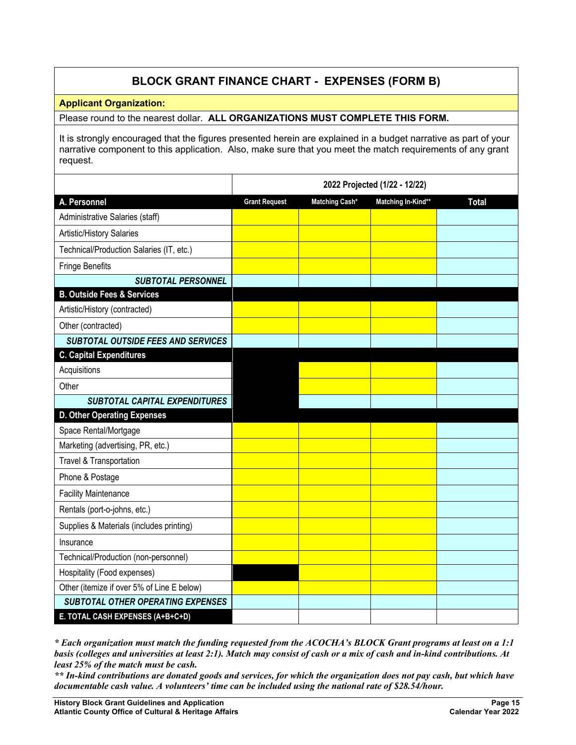# **BLOCK GRANT FINANCE CHART - EXPENSES (FORM B)**

#### **Applicant Organization:**

Please round to the nearest dollar. **ALL ORGANIZATIONS MUST COMPLETE THIS FORM.**

It is strongly encouraged that the figures presented herein are explained in a budget narrative as part of your narrative component to this application. Also, make sure that you meet the match requirements of any grant request.

|                                            | 2022 Projected (1/22 - 12/22) |                |                    |              |  |  |
|--------------------------------------------|-------------------------------|----------------|--------------------|--------------|--|--|
| A. Personnel                               | <b>Grant Request</b>          | Matching Cash* | Matching In-Kind** | <b>Total</b> |  |  |
| Administrative Salaries (staff)            |                               |                |                    |              |  |  |
| Artistic/History Salaries                  |                               |                |                    |              |  |  |
| Technical/Production Salaries (IT, etc.)   |                               |                |                    |              |  |  |
| <b>Fringe Benefits</b>                     |                               |                |                    |              |  |  |
| <b>SUBTOTAL PERSONNEL</b>                  |                               |                |                    |              |  |  |
| <b>B. Outside Fees &amp; Services</b>      |                               |                |                    |              |  |  |
| Artistic/History (contracted)              |                               |                |                    |              |  |  |
| Other (contracted)                         |                               |                |                    |              |  |  |
| <b>SUBTOTAL OUTSIDE FEES AND SERVICES</b>  |                               |                |                    |              |  |  |
| <b>C. Capital Expenditures</b>             |                               |                |                    |              |  |  |
| Acquisitions                               |                               |                |                    |              |  |  |
| Other                                      |                               |                |                    |              |  |  |
| <b>SUBTOTAL CAPITAL EXPENDITURES</b>       |                               |                |                    |              |  |  |
| <b>D. Other Operating Expenses</b>         |                               |                |                    |              |  |  |
| Space Rental/Mortgage                      |                               |                |                    |              |  |  |
| Marketing (advertising, PR, etc.)          |                               |                |                    |              |  |  |
| Travel & Transportation                    |                               |                |                    |              |  |  |
| Phone & Postage                            |                               |                |                    |              |  |  |
| <b>Facility Maintenance</b>                |                               |                |                    |              |  |  |
| Rentals (port-o-johns, etc.)               |                               |                |                    |              |  |  |
| Supplies & Materials (includes printing)   |                               |                |                    |              |  |  |
| Insurance                                  |                               |                |                    |              |  |  |
| Technical/Production (non-personnel)       |                               |                |                    |              |  |  |
| Hospitality (Food expenses)                |                               |                |                    |              |  |  |
| Other (itemize if over 5% of Line E below) |                               |                |                    |              |  |  |
| <b>SUBTOTAL OTHER OPERATING EXPENSES</b>   |                               |                |                    |              |  |  |
| E. TOTAL CASH EXPENSES (A+B+C+D)           |                               |                |                    |              |  |  |

*\* Each organization must match the funding requested from the ACOCHA's BLOCK Grant programs at least on a 1:1 basis (colleges and universities at least 2:1). Match may consist of cash or a mix of cash and in-kind contributions. At least 25% of the match must be cash.* 

*\*\* In-kind contributions are donated goods and services, for which the organization does not pay cash, but which have documentable cash value. A volunteers' time can be included using the national rate of \$28.54/hour.*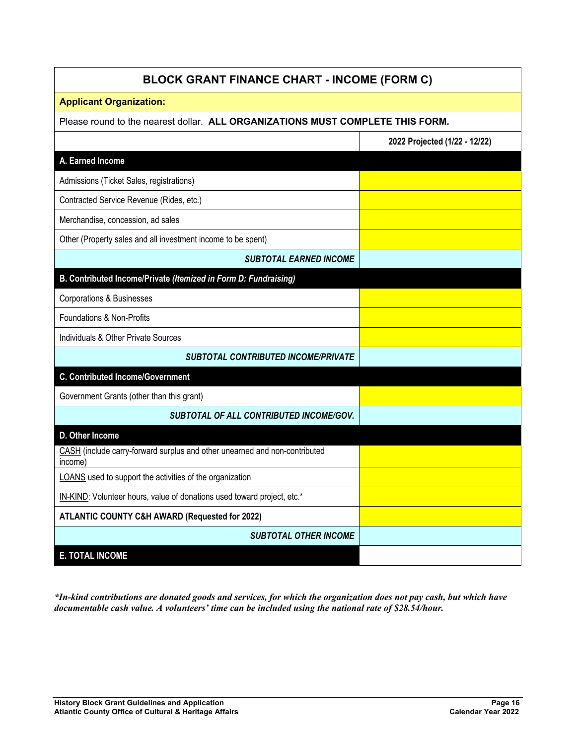| <b>BLOCK GRANT FINANCE CHART - INCOME (FORM C)</b>                                    |                               |  |  |  |  |  |
|---------------------------------------------------------------------------------------|-------------------------------|--|--|--|--|--|
| <b>Applicant Organization:</b>                                                        |                               |  |  |  |  |  |
| Please round to the nearest dollar. ALL ORGANIZATIONS MUST COMPLETE THIS FORM.        |                               |  |  |  |  |  |
|                                                                                       | 2022 Projected (1/22 - 12/22) |  |  |  |  |  |
| A. Earned Income                                                                      |                               |  |  |  |  |  |
| Admissions (Ticket Sales, registrations)                                              |                               |  |  |  |  |  |
| Contracted Service Revenue (Rides, etc.)                                              |                               |  |  |  |  |  |
| Merchandise, concession, ad sales                                                     |                               |  |  |  |  |  |
| Other (Property sales and all investment income to be spent)                          |                               |  |  |  |  |  |
| <b>SUBTOTAL EARNED INCOME</b>                                                         |                               |  |  |  |  |  |
| B. Contributed Income/Private (Itemized in Form D: Fundraising)                       |                               |  |  |  |  |  |
| <b>Corporations &amp; Businesses</b>                                                  |                               |  |  |  |  |  |
| Foundations & Non-Profits                                                             |                               |  |  |  |  |  |
| Individuals & Other Private Sources                                                   |                               |  |  |  |  |  |
| <b>SUBTOTAL CONTRIBUTED INCOME/PRIVATE</b>                                            |                               |  |  |  |  |  |
| <b>C. Contributed Income/Government</b>                                               |                               |  |  |  |  |  |
| Government Grants (other than this grant)                                             |                               |  |  |  |  |  |
| SUBTOTAL OF ALL CONTRIBUTED INCOME/GOV.                                               |                               |  |  |  |  |  |
| D. Other Income                                                                       |                               |  |  |  |  |  |
| CASH (include carry-forward surplus and other unearned and non-contributed<br>income) |                               |  |  |  |  |  |
| LOANS used to support the activities of the organization                              |                               |  |  |  |  |  |
| IN-KIND: Volunteer hours, value of donations used toward project, etc.*               |                               |  |  |  |  |  |
| ATLANTIC COUNTY C&H AWARD (Requested for 2022)                                        |                               |  |  |  |  |  |
| <b>SUBTOTAL OTHER INCOME</b>                                                          |                               |  |  |  |  |  |
| <b>E. TOTAL INCOME</b>                                                                |                               |  |  |  |  |  |

*\*In-kind contributions are donated goods and services, for which the organization does not pay cash, but which have documentable cash value. A volunteers' time can be included using the national rate of \$28.54/hour.*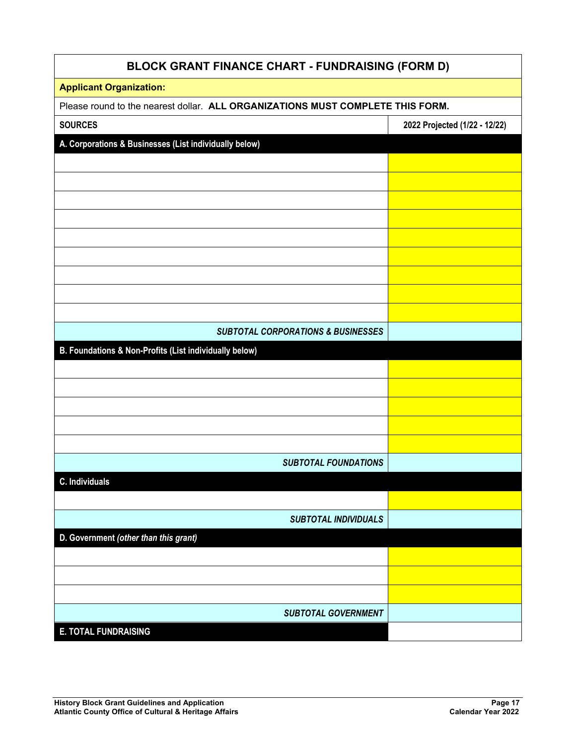| <b>BLOCK GRANT FINANCE CHART - FUNDRAISING (FORM D)</b>                        |                               |  |  |  |
|--------------------------------------------------------------------------------|-------------------------------|--|--|--|
| <b>Applicant Organization:</b>                                                 |                               |  |  |  |
| Please round to the nearest dollar. ALL ORGANIZATIONS MUST COMPLETE THIS FORM. |                               |  |  |  |
| <b>SOURCES</b>                                                                 | 2022 Projected (1/22 - 12/22) |  |  |  |
| A. Corporations & Businesses (List individually below)                         |                               |  |  |  |
|                                                                                |                               |  |  |  |
|                                                                                |                               |  |  |  |
|                                                                                |                               |  |  |  |
|                                                                                |                               |  |  |  |
|                                                                                |                               |  |  |  |
|                                                                                |                               |  |  |  |
|                                                                                |                               |  |  |  |
|                                                                                |                               |  |  |  |
|                                                                                |                               |  |  |  |
| <b>SUBTOTAL CORPORATIONS &amp; BUSINESSES</b>                                  |                               |  |  |  |
| B. Foundations & Non-Profits (List individually below)                         |                               |  |  |  |
|                                                                                |                               |  |  |  |
|                                                                                |                               |  |  |  |
|                                                                                |                               |  |  |  |
|                                                                                |                               |  |  |  |
|                                                                                |                               |  |  |  |
| <b>SUBTOTAL FOUNDATIONS</b>                                                    |                               |  |  |  |
| <b>C.</b> Individuals                                                          |                               |  |  |  |
|                                                                                |                               |  |  |  |
| <b>SUBTOTAL INDIVIDUALS</b>                                                    |                               |  |  |  |
| D. Government (other than this grant)                                          |                               |  |  |  |
|                                                                                |                               |  |  |  |
|                                                                                |                               |  |  |  |
|                                                                                |                               |  |  |  |
| <b>SUBTOTAL GOVERNMENT</b>                                                     |                               |  |  |  |
| <b>E. TOTAL FUNDRAISING</b>                                                    |                               |  |  |  |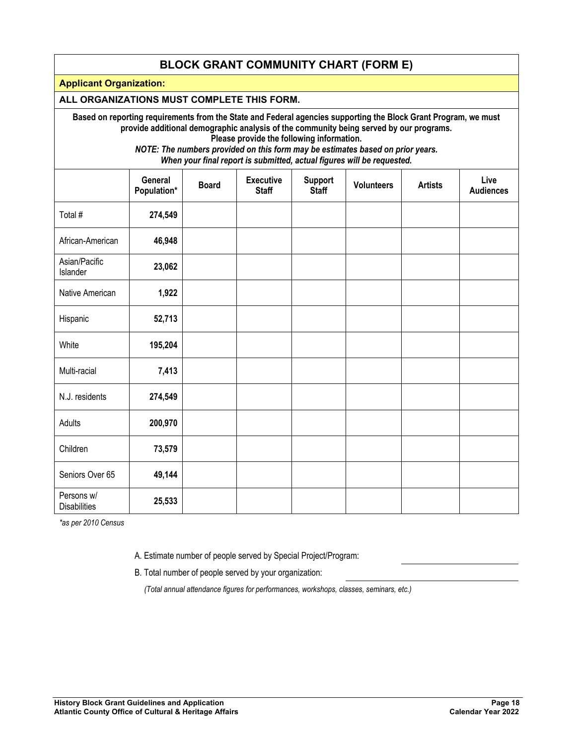#### **BLOCK GRANT COMMUNITY CHART (FORM E)**

**Applicant Organization:** 

#### **ALL ORGANIZATIONS MUST COMPLETE THIS FORM.**

**Based on reporting requirements from the State and Federal agencies supporting the Block Grant Program, we must provide additional demographic analysis of the community being served by our programs.** 

**Please provide the following information.** 

*NOTE: The numbers provided on this form may be estimates based on prior years. When your final report is submitted, actual figures will be requested.*

|                                   | General<br>Population* | <b>Board</b> | <b>Executive</b><br><b>Staff</b> | <b>Support</b><br><b>Staff</b> | <b>Volunteers</b> | <b>Artists</b> | Live<br><b>Audiences</b> |
|-----------------------------------|------------------------|--------------|----------------------------------|--------------------------------|-------------------|----------------|--------------------------|
| Total #                           | 274,549                |              |                                  |                                |                   |                |                          |
| African-American                  | 46,948                 |              |                                  |                                |                   |                |                          |
| Asian/Pacific<br>Islander         | 23,062                 |              |                                  |                                |                   |                |                          |
| Native American                   | 1,922                  |              |                                  |                                |                   |                |                          |
| Hispanic                          | 52,713                 |              |                                  |                                |                   |                |                          |
| White                             | 195,204                |              |                                  |                                |                   |                |                          |
| Multi-racial                      | 7,413                  |              |                                  |                                |                   |                |                          |
| N.J. residents                    | 274,549                |              |                                  |                                |                   |                |                          |
| Adults                            | 200,970                |              |                                  |                                |                   |                |                          |
| Children                          | 73,579                 |              |                                  |                                |                   |                |                          |
| Seniors Over 65                   | 49,144                 |              |                                  |                                |                   |                |                          |
| Persons w/<br><b>Disabilities</b> | 25,533                 |              |                                  |                                |                   |                |                          |

*\*as per 2010 Census* 

A. Estimate number of people served by Special Project/Program:

B. Total number of people served by your organization:

*(Total annual attendance figures for performances, workshops, classes, seminars, etc.)*